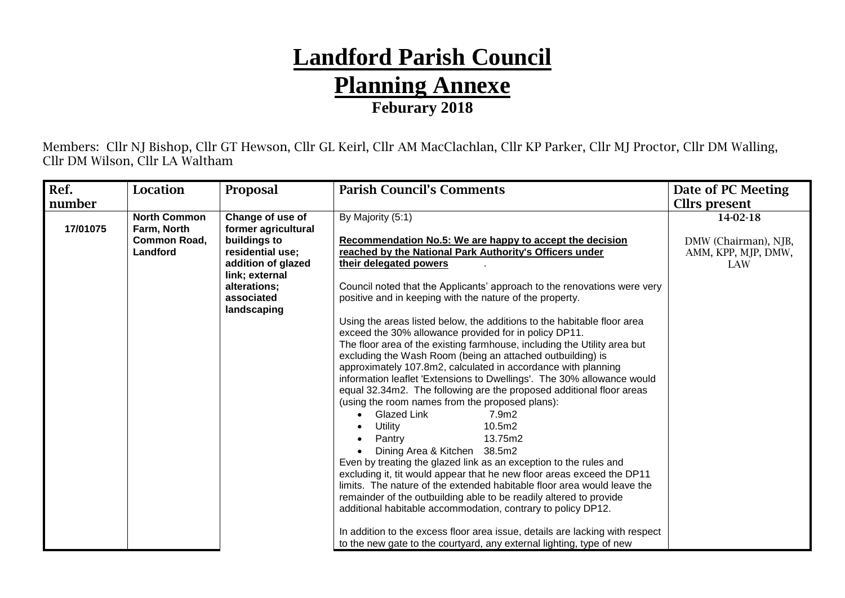## **Landford Parish Council Planning Annexe Feburary 2018**

Members: Cllr NJ Bishop, Cllr GT Hewson, Cllr GL Keirl, Cllr AM MacClachlan, Cllr KP Parker, Cllr MJ Proctor, Cllr DM Walling, Cllr DM Wilson, Cllr LA Waltham

| Ref.     | Location                                       | Proposal                                                                                                                                     | <b>Parish Council's Comments</b>                                                                                                                                                                                                                                                                                                                                                                                                                                                                                                                                                                                                                                                                                                                                                                                                                                                                                                                                                                                                                                                                                                                                                                                                                                                                            | Date of PC Meeting                                 |
|----------|------------------------------------------------|----------------------------------------------------------------------------------------------------------------------------------------------|-------------------------------------------------------------------------------------------------------------------------------------------------------------------------------------------------------------------------------------------------------------------------------------------------------------------------------------------------------------------------------------------------------------------------------------------------------------------------------------------------------------------------------------------------------------------------------------------------------------------------------------------------------------------------------------------------------------------------------------------------------------------------------------------------------------------------------------------------------------------------------------------------------------------------------------------------------------------------------------------------------------------------------------------------------------------------------------------------------------------------------------------------------------------------------------------------------------------------------------------------------------------------------------------------------------|----------------------------------------------------|
| number   |                                                |                                                                                                                                              |                                                                                                                                                                                                                                                                                                                                                                                                                                                                                                                                                                                                                                                                                                                                                                                                                                                                                                                                                                                                                                                                                                                                                                                                                                                                                                             | <b>Clirs</b> present                               |
|          | <b>North Common</b>                            | Change of use of                                                                                                                             | By Majority (5:1)                                                                                                                                                                                                                                                                                                                                                                                                                                                                                                                                                                                                                                                                                                                                                                                                                                                                                                                                                                                                                                                                                                                                                                                                                                                                                           | 14-02-18                                           |
| 17/01075 | Farm, North<br><b>Common Road,</b><br>Landford | former agricultural<br>buildings to<br>residential use;<br>addition of glazed<br>link; external<br>alterations:<br>associated<br>landscaping | Recommendation No.5: We are happy to accept the decision<br>reached by the National Park Authority's Officers under<br>their delegated powers<br>Council noted that the Applicants' approach to the renovations were very<br>positive and in keeping with the nature of the property.<br>Using the areas listed below, the additions to the habitable floor area<br>exceed the 30% allowance provided for in policy DP11.<br>The floor area of the existing farmhouse, including the Utility area but<br>excluding the Wash Room (being an attached outbuilding) is<br>approximately 107.8m2, calculated in accordance with planning<br>information leaflet 'Extensions to Dwellings'. The 30% allowance would<br>equal 32.34m2. The following are the proposed additional floor areas<br>(using the room names from the proposed plans):<br>Glazed Link<br>7.9m2<br>Utility<br>10.5m2<br>13.75m2<br>Pantry<br>Dining Area & Kitchen 38.5m2<br>Even by treating the glazed link as an exception to the rules and<br>excluding it, tit would appear that he new floor areas exceed the DP11<br>limits. The nature of the extended habitable floor area would leave the<br>remainder of the outbuilding able to be readily altered to provide<br>additional habitable accommodation, contrary to policy DP12. | DMW (Chairman), NJB,<br>AMM, KPP, MJP, DMW,<br>LAW |
|          |                                                |                                                                                                                                              | In addition to the excess floor area issue, details are lacking with respect                                                                                                                                                                                                                                                                                                                                                                                                                                                                                                                                                                                                                                                                                                                                                                                                                                                                                                                                                                                                                                                                                                                                                                                                                                |                                                    |
|          |                                                |                                                                                                                                              | to the new gate to the courtyard, any external lighting, type of new                                                                                                                                                                                                                                                                                                                                                                                                                                                                                                                                                                                                                                                                                                                                                                                                                                                                                                                                                                                                                                                                                                                                                                                                                                        |                                                    |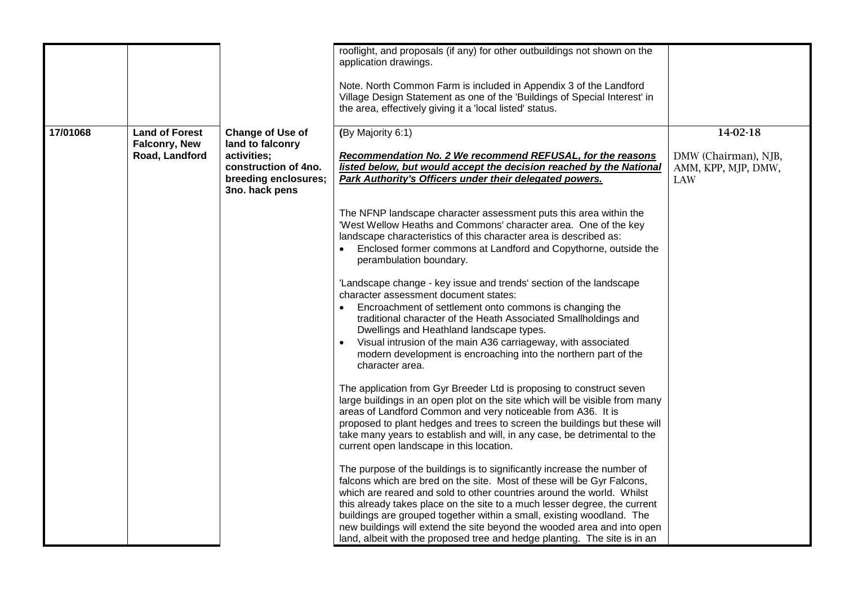|          |                                                          |                                                                                                                              | rooflight, and proposals (if any) for other outbuildings not shown on the<br>application drawings.<br>Note. North Common Farm is included in Appendix 3 of the Landford<br>Village Design Statement as one of the 'Buildings of Special Interest' in<br>the area, effectively giving it a 'local listed' status.                                                                                                                                                                                                                         |                                                                |
|----------|----------------------------------------------------------|------------------------------------------------------------------------------------------------------------------------------|------------------------------------------------------------------------------------------------------------------------------------------------------------------------------------------------------------------------------------------------------------------------------------------------------------------------------------------------------------------------------------------------------------------------------------------------------------------------------------------------------------------------------------------|----------------------------------------------------------------|
| 17/01068 | <b>Land of Forest</b><br>Falconry, New<br>Road, Landford | <b>Change of Use of</b><br>land to falconry<br>activities;<br>construction of 4no.<br>breeding enclosures;<br>3no. hack pens | (By Majority 6:1)<br>Recommendation No. 2 We recommend REFUSAL, for the reasons<br>listed below, but would accept the decision reached by the National<br>Park Authority's Officers under their delegated powers.                                                                                                                                                                                                                                                                                                                        | 14-02-18<br>DMW (Chairman), NJB,<br>AMM, KPP, MJP, DMW,<br>LAW |
|          |                                                          |                                                                                                                              | The NFNP landscape character assessment puts this area within the<br>'West Wellow Heaths and Commons' character area. One of the key<br>landscape characteristics of this character area is described as:<br>Enclosed former commons at Landford and Copythorne, outside the<br>perambulation boundary.                                                                                                                                                                                                                                  |                                                                |
|          |                                                          |                                                                                                                              | 'Landscape change - key issue and trends' section of the landscape<br>character assessment document states:<br>Encroachment of settlement onto commons is changing the<br>traditional character of the Heath Associated Smallholdings and<br>Dwellings and Heathland landscape types.<br>Visual intrusion of the main A36 carriageway, with associated<br>modern development is encroaching into the northern part of the<br>character area.                                                                                             |                                                                |
|          |                                                          |                                                                                                                              | The application from Gyr Breeder Ltd is proposing to construct seven<br>large buildings in an open plot on the site which will be visible from many<br>areas of Landford Common and very noticeable from A36. It is<br>proposed to plant hedges and trees to screen the buildings but these will<br>take many years to establish and will, in any case, be detrimental to the<br>current open landscape in this location.                                                                                                                |                                                                |
|          |                                                          |                                                                                                                              | The purpose of the buildings is to significantly increase the number of<br>falcons which are bred on the site. Most of these will be Gyr Falcons,<br>which are reared and sold to other countries around the world. Whilst<br>this already takes place on the site to a much lesser degree, the current<br>buildings are grouped together within a small, existing woodland. The<br>new buildings will extend the site beyond the wooded area and into open<br>land, albeit with the proposed tree and hedge planting. The site is in an |                                                                |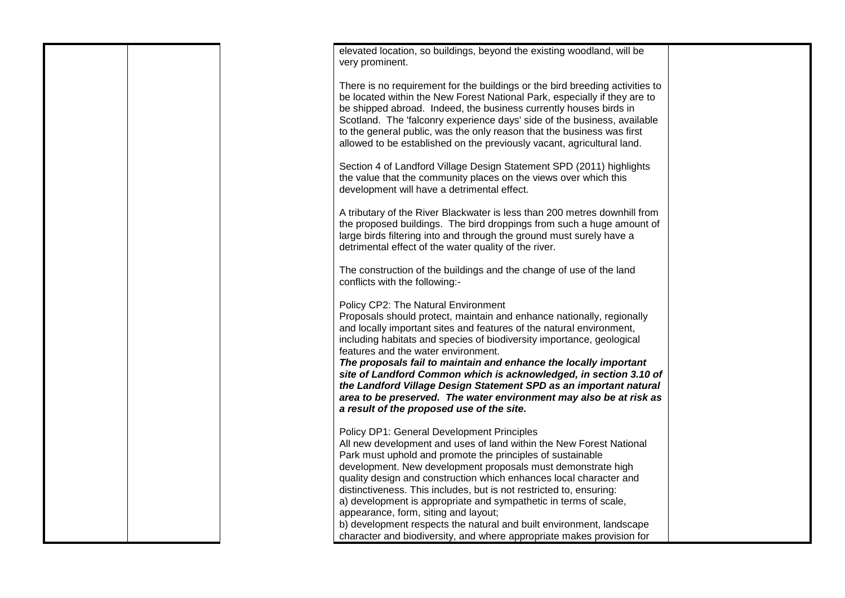|  | elevated location, so buildings, beyond the existing woodland, will be<br>very prominent.                                                                                                                                                                                                                                                                                                                                                                                                                                                                                                                                                                 |  |
|--|-----------------------------------------------------------------------------------------------------------------------------------------------------------------------------------------------------------------------------------------------------------------------------------------------------------------------------------------------------------------------------------------------------------------------------------------------------------------------------------------------------------------------------------------------------------------------------------------------------------------------------------------------------------|--|
|  | There is no requirement for the buildings or the bird breeding activities to<br>be located within the New Forest National Park, especially if they are to<br>be shipped abroad. Indeed, the business currently houses birds in<br>Scotland. The 'falconry experience days' side of the business, available<br>to the general public, was the only reason that the business was first<br>allowed to be established on the previously vacant, agricultural land.                                                                                                                                                                                            |  |
|  | Section 4 of Landford Village Design Statement SPD (2011) highlights<br>the value that the community places on the views over which this<br>development will have a detrimental effect.                                                                                                                                                                                                                                                                                                                                                                                                                                                                   |  |
|  | A tributary of the River Blackwater is less than 200 metres downhill from<br>the proposed buildings. The bird droppings from such a huge amount of<br>large birds filtering into and through the ground must surely have a<br>detrimental effect of the water quality of the river.                                                                                                                                                                                                                                                                                                                                                                       |  |
|  | The construction of the buildings and the change of use of the land<br>conflicts with the following:-                                                                                                                                                                                                                                                                                                                                                                                                                                                                                                                                                     |  |
|  | Policy CP2: The Natural Environment<br>Proposals should protect, maintain and enhance nationally, regionally<br>and locally important sites and features of the natural environment,<br>including habitats and species of biodiversity importance, geological<br>features and the water environment.<br>The proposals fail to maintain and enhance the locally important<br>site of Landford Common which is acknowledged, in section 3.10 of<br>the Landford Village Design Statement SPD as an important natural<br>area to be preserved. The water environment may also be at risk as<br>a result of the proposed use of the site.                     |  |
|  | Policy DP1: General Development Principles<br>All new development and uses of land within the New Forest National<br>Park must uphold and promote the principles of sustainable<br>development. New development proposals must demonstrate high<br>quality design and construction which enhances local character and<br>distinctiveness. This includes, but is not restricted to, ensuring:<br>a) development is appropriate and sympathetic in terms of scale,<br>appearance, form, siting and layout;<br>b) development respects the natural and built environment, landscape<br>character and biodiversity, and where appropriate makes provision for |  |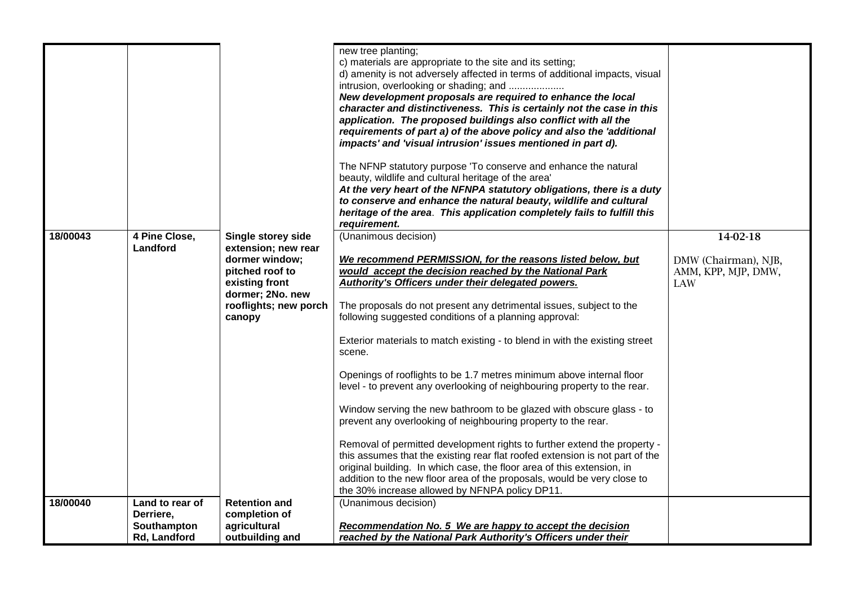| 4 Pine Close,<br>(Unanimous decision)<br>14-02-18<br>18/00043<br><b>Single storey side</b><br>Landford<br>extension; new rear<br>dormer window;<br>We recommend PERMISSION, for the reasons listed below, but<br>DMW (Chairman), NJB,<br>would accept the decision reached by the National Park<br>pitched roof to<br>AMM, KPP, MJP, DMW,<br>Authority's Officers under their delegated powers.<br>existing front<br><b>LAW</b><br>dormer; 2No. new<br>rooflights; new porch<br>The proposals do not present any detrimental issues, subject to the<br>following suggested conditions of a planning approval:<br>canopy<br>Exterior materials to match existing - to blend in with the existing street<br>scene.<br>Openings of rooflights to be 1.7 metres minimum above internal floor<br>level - to prevent any overlooking of neighbouring property to the rear.<br>Window serving the new bathroom to be glazed with obscure glass - to<br>prevent any overlooking of neighbouring property to the rear.<br>Removal of permitted development rights to further extend the property -<br>this assumes that the existing rear flat roofed extension is not part of the<br>original building. In which case, the floor area of this extension, in<br>addition to the new floor area of the proposals, would be very close to<br>the 30% increase allowed by NFNPA policy DP11.<br>Land to rear of<br><b>Retention and</b><br>(Unanimous decision)<br>18/00040<br>Derriere,<br>completion of<br>agricultural<br>Recommendation No. 5 We are happy to accept the decision<br>Southampton |              |                 | new tree planting;<br>c) materials are appropriate to the site and its setting;<br>d) amenity is not adversely affected in terms of additional impacts, visual<br>intrusion, overlooking or shading; and<br>New development proposals are required to enhance the local<br>character and distinctiveness. This is certainly not the case in this<br>application. The proposed buildings also conflict with all the<br>requirements of part a) of the above policy and also the 'additional<br>impacts' and 'visual intrusion' issues mentioned in part d).<br>The NFNP statutory purpose 'To conserve and enhance the natural<br>beauty, wildlife and cultural heritage of the area'<br>At the very heart of the NFNPA statutory obligations, there is a duty<br>to conserve and enhance the natural beauty, wildlife and cultural<br>heritage of the area. This application completely fails to fulfill this<br>requirement. |  |
|------------------------------------------------------------------------------------------------------------------------------------------------------------------------------------------------------------------------------------------------------------------------------------------------------------------------------------------------------------------------------------------------------------------------------------------------------------------------------------------------------------------------------------------------------------------------------------------------------------------------------------------------------------------------------------------------------------------------------------------------------------------------------------------------------------------------------------------------------------------------------------------------------------------------------------------------------------------------------------------------------------------------------------------------------------------------------------------------------------------------------------------------------------------------------------------------------------------------------------------------------------------------------------------------------------------------------------------------------------------------------------------------------------------------------------------------------------------------------------------------------------------------------------------------------------------------------------------|--------------|-----------------|-------------------------------------------------------------------------------------------------------------------------------------------------------------------------------------------------------------------------------------------------------------------------------------------------------------------------------------------------------------------------------------------------------------------------------------------------------------------------------------------------------------------------------------------------------------------------------------------------------------------------------------------------------------------------------------------------------------------------------------------------------------------------------------------------------------------------------------------------------------------------------------------------------------------------------|--|
|                                                                                                                                                                                                                                                                                                                                                                                                                                                                                                                                                                                                                                                                                                                                                                                                                                                                                                                                                                                                                                                                                                                                                                                                                                                                                                                                                                                                                                                                                                                                                                                          |              |                 |                                                                                                                                                                                                                                                                                                                                                                                                                                                                                                                                                                                                                                                                                                                                                                                                                                                                                                                               |  |
|                                                                                                                                                                                                                                                                                                                                                                                                                                                                                                                                                                                                                                                                                                                                                                                                                                                                                                                                                                                                                                                                                                                                                                                                                                                                                                                                                                                                                                                                                                                                                                                          |              |                 |                                                                                                                                                                                                                                                                                                                                                                                                                                                                                                                                                                                                                                                                                                                                                                                                                                                                                                                               |  |
|                                                                                                                                                                                                                                                                                                                                                                                                                                                                                                                                                                                                                                                                                                                                                                                                                                                                                                                                                                                                                                                                                                                                                                                                                                                                                                                                                                                                                                                                                                                                                                                          |              |                 |                                                                                                                                                                                                                                                                                                                                                                                                                                                                                                                                                                                                                                                                                                                                                                                                                                                                                                                               |  |
|                                                                                                                                                                                                                                                                                                                                                                                                                                                                                                                                                                                                                                                                                                                                                                                                                                                                                                                                                                                                                                                                                                                                                                                                                                                                                                                                                                                                                                                                                                                                                                                          | Rd, Landford | outbuilding and | reached by the National Park Authority's Officers under their                                                                                                                                                                                                                                                                                                                                                                                                                                                                                                                                                                                                                                                                                                                                                                                                                                                                 |  |